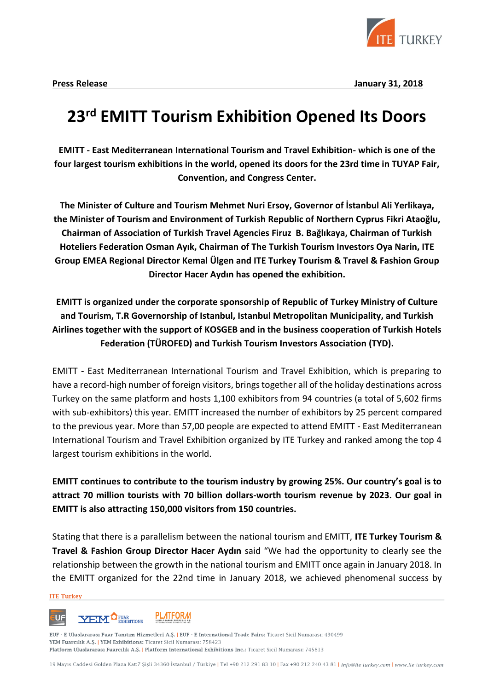

**Press Release January 31, 2018**

# **23rd EMITT Tourism Exhibition Opened Its Doors**

**EMITT - East Mediterranean International Tourism and Travel Exhibition- which is one of the four largest tourism exhibitions in the world, opened its doors for the 23rd time in TUYAP Fair, Convention, and Congress Center.**

**The Minister of Culture and Tourism Mehmet Nuri Ersoy, Governor of İstanbul Ali Yerlikaya, the Minister of Tourism and Environment of Turkish Republic of Northern Cyprus Fikri Ataoğlu, Chairman of Association of Turkish Travel Agencies Firuz B. Bağlıkaya, Chairman of Turkish Hoteliers Federation Osman Ayık, Chairman of The Turkish Tourism Investors Oya Narin, ITE Group EMEA Regional Director Kemal Ülgen and ITE Turkey Tourism & Travel & Fashion Group Director Hacer Aydın has opened the exhibition.**

**EMITT is organized under the corporate sponsorship of Republic of Turkey Ministry of Culture and Tourism, T.R Governorship of Istanbul, Istanbul Metropolitan Municipality, and Turkish Airlines together with the support of KOSGEB and in the business cooperation of Turkish Hotels Federation (TÜROFED) and Turkish Tourism Investors Association (TYD).**

EMITT - East Mediterranean International Tourism and Travel Exhibition, which is preparing to have a record-high number of foreign visitors, brings together all of the holiday destinations across Turkey on the same platform and hosts 1,100 exhibitors from 94 countries (a total of 5,602 firms with sub-exhibitors) this year. EMITT increased the number of exhibitors by 25 percent compared to the previous year. More than 57,00 people are expected to attend EMITT - East Mediterranean International Tourism and Travel Exhibition organized by ITE Turkey and ranked among the top 4 largest tourism exhibitions in the world.

**EMITT continues to contribute to the tourism industry by growing 25%. Our country's goal is to attract 70 million tourists with 70 billion dollars-worth tourism revenue by 2023. Our goal in EMITT is also attracting 150,000 visitors from 150 countries.**

Stating that there is a parallelism between the national tourism and EMITT, **ITE Turkey Tourism & Travel & Fashion Group Director Hacer Aydın** said "We had the opportunity to clearly see the relationship between the growth in the national tourism and EMITT once again in January 2018. In the EMITT organized for the 22nd time in January 2018, we achieved phenomenal success by

## **ITE Turkey**

#### **YEM<sup>O</sup>FUAR</sup>** EXHIBITIONS **PLATFORM UF**

EUF - E Uluslararası Fuar Tanıtım Hizmetleri A.Ş. | EUF - E International Trade Fairs: Ticaret Sicil Numarası: 430499 YEM Fuarcılık A.Ş. | YEM Exhibitions: Ticaret Sicil Numarası: 758423 Platform Uluslararası Fuarcılık A.Ş. | Platform International Exhibitions Inc.: Ticaret Sicil Numarası: 745813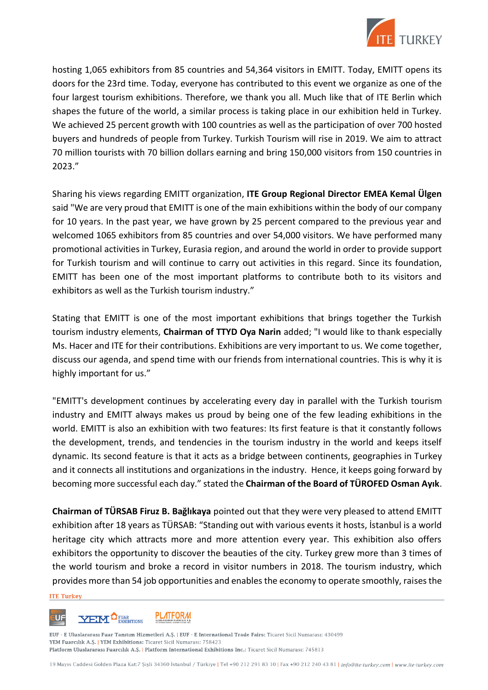

hosting 1,065 exhibitors from 85 countries and 54,364 visitors in EMITT. Today, EMITT opens its doors for the 23rd time. Today, everyone has contributed to this event we organize as one of the four largest tourism exhibitions. Therefore, we thank you all. Much like that of ITE Berlin which shapes the future of the world, a similar process is taking place in our exhibition held in Turkey. We achieved 25 percent growth with 100 countries as well as the participation of over 700 hosted buyers and hundreds of people from Turkey. Turkish Tourism will rise in 2019. We aim to attract 70 million tourists with 70 billion dollars earning and bring 150,000 visitors from 150 countries in 2023."

Sharing his views regarding EMITT organization, **ITE Group Regional Director EMEA Kemal Ülgen** said "We are very proud that EMITT is one of the main exhibitions within the body of our company for 10 years. In the past year, we have grown by 25 percent compared to the previous year and welcomed 1065 exhibitors from 85 countries and over 54,000 visitors. We have performed many promotional activities in Turkey, Eurasia region, and around the world in order to provide support for Turkish tourism and will continue to carry out activities in this regard. Since its foundation, EMITT has been one of the most important platforms to contribute both to its visitors and exhibitors as well as the Turkish tourism industry."

Stating that EMITT is one of the most important exhibitions that brings together the Turkish tourism industry elements, **Chairman of TTYD Oya Narin** added; "I would like to thank especially Ms. Hacer and ITE for their contributions. Exhibitions are very important to us. We come together, discuss our agenda, and spend time with our friends from international countries. This is why it is highly important for us."

"EMITT's development continues by accelerating every day in parallel with the Turkish tourism industry and EMITT always makes us proud by being one of the few leading exhibitions in the world. EMITT is also an exhibition with two features: Its first feature is that it constantly follows the development, trends, and tendencies in the tourism industry in the world and keeps itself dynamic. Its second feature is that it acts as a bridge between continents, geographies in Turkey and it connects all institutions and organizations in the industry. Hence, it keeps going forward by becoming more successful each day." stated the **Chairman of the Board of TÜROFED Osman Ayık**.

**Chairman of TÜRSAB Firuz B. Bağlıkaya** pointed out that they were very pleased to attend EMITT exhibition after 18 years as TÜRSAB: "Standing out with various events it hosts, İstanbul is a world heritage city which attracts more and more attention every year. This exhibition also offers exhibitors the opportunity to discover the beauties of the city. Turkey grew more than 3 times of the world tourism and broke a record in visitor numbers in 2018. The tourism industry, which provides more than 54 job opportunities and enables the economy to operate smoothly, raises the

# **ITE Turkey**



EUF - E Uluslararası Fuar Tanıtım Hizmetleri A.Ş. | EUF - E International Trade Fairs: Ticaret Sicil Numarası: 430499 YEM Fuarcılık A.Ş. | YEM Exhibitions: Ticaret Sicil Numarası: 758423 Platform Uluslararası Fuarcılık A.Ş. | Platform International Exhibitions Inc.: Ticaret Sicil Numarası: 745813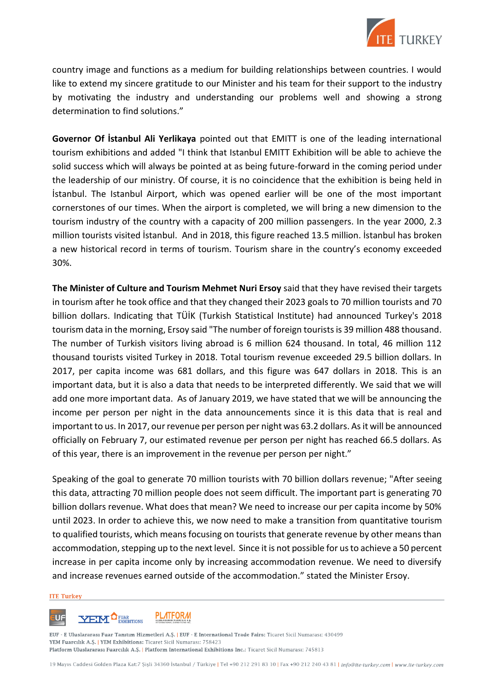

country image and functions as a medium for building relationships between countries. I would like to extend my sincere gratitude to our Minister and his team for their support to the industry by motivating the industry and understanding our problems well and showing a strong determination to find solutions."

**Governor Of İstanbul Ali Yerlikaya** pointed out that EMITT is one of the leading international tourism exhibitions and added "I think that Istanbul EMITT Exhibition will be able to achieve the solid success which will always be pointed at as being future-forward in the coming period under the leadership of our ministry. Of course, it is no coincidence that the exhibition is being held in İstanbul. The Istanbul Airport, which was opened earlier will be one of the most important cornerstones of our times. When the airport is completed, we will bring a new dimension to the tourism industry of the country with a capacity of 200 million passengers. In the year 2000, 2.3 million tourists visited İstanbul. And in 2018, this figure reached 13.5 million. İstanbul has broken a new historical record in terms of tourism. Tourism share in the country's economy exceeded 30%.

**The Minister of Culture and Tourism Mehmet Nuri Ersoy** said that they have revised their targets in tourism after he took office and that they changed their 2023 goals to 70 million tourists and 70 billion dollars. Indicating that TÜİK (Turkish Statistical Institute) had announced Turkey's 2018 tourism data in the morning, Ersoy said "The number of foreign tourists is 39 million 488 thousand. The number of Turkish visitors living abroad is 6 million 624 thousand. In total, 46 million 112 thousand tourists visited Turkey in 2018. Total tourism revenue exceeded 29.5 billion dollars. In 2017, per capita income was 681 dollars, and this figure was 647 dollars in 2018. This is an important data, but it is also a data that needs to be interpreted differently. We said that we will add one more important data. As of January 2019, we have stated that we will be announcing the income per person per night in the data announcements since it is this data that is real and important to us. In 2017, our revenue per person per night was 63.2 dollars. As it will be announced officially on February 7, our estimated revenue per person per night has reached 66.5 dollars. As of this year, there is an improvement in the revenue per person per night."

Speaking of the goal to generate 70 million tourists with 70 billion dollars revenue; "After seeing this data, attracting 70 million people does not seem difficult. The important part is generating 70 billion dollars revenue. What does that mean? We need to increase our per capita income by 50% until 2023. In order to achieve this, we now need to make a transition from quantitative tourism to qualified tourists, which means focusing on tourists that generate revenue by other means than accommodation, stepping up to the next level. Since it is not possible for us to achieve a 50 percent increase in per capita income only by increasing accommodation revenue. We need to diversify and increase revenues earned outside of the accommodation." stated the Minister Ersoy.

### **ITE Turkey**



EUF - E Uluslararası Fuar Tanıtım Hizmetleri A.Ş. | EUF - E International Trade Fairs: Ticaret Sicil Numarası: 430499 YEM Fuarcılık A.Ş. | YEM Exhibitions: Ticaret Sicil Numarası: 758423 Platform Uluslararası Fuarcılık A.Ş. | Platform International Exhibitions Inc.: Ticaret Sicil Numarası: 745813